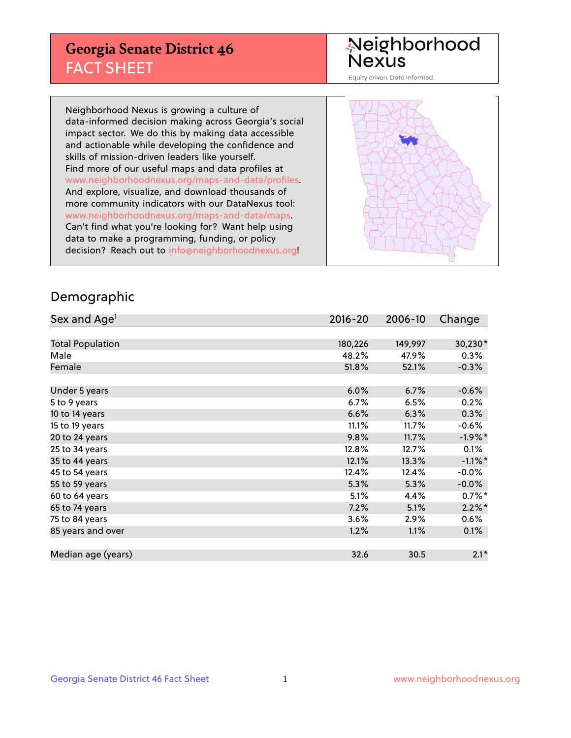## **Georgia Senate District 46** FACT SHEET

# Neighborhood<br>Nexus

Equity driven. Data informed.

Neighborhood Nexus is growing a culture of data-informed decision making across Georgia's social impact sector. We do this by making data accessible and actionable while developing the confidence and skills of mission-driven leaders like yourself. Find more of our useful maps and data profiles at www.neighborhoodnexus.org/maps-and-data/profiles. And explore, visualize, and download thousands of more community indicators with our DataNexus tool: www.neighborhoodnexus.org/maps-and-data/maps. Can't find what you're looking for? Want help using data to make a programming, funding, or policy decision? Reach out to [info@neighborhoodnexus.org!](mailto:info@neighborhoodnexus.org)



### Demographic

| Sex and Age <sup>1</sup> | $2016 - 20$ | 2006-10 | Change     |
|--------------------------|-------------|---------|------------|
|                          |             |         |            |
| <b>Total Population</b>  | 180,226     | 149,997 | 30,230*    |
| Male                     | 48.2%       | 47.9%   | $0.3\%$    |
| Female                   | 51.8%       | 52.1%   | $-0.3%$    |
|                          |             |         |            |
| Under 5 years            | 6.0%        | 6.7%    | $-0.6%$    |
| 5 to 9 years             | $6.7\%$     | 6.5%    | 0.2%       |
| 10 to 14 years           | 6.6%        | 6.3%    | 0.3%       |
| 15 to 19 years           | 11.1%       | 11.7%   | $-0.6%$    |
| 20 to 24 years           | 9.8%        | 11.7%   | $-1.9%$ *  |
| 25 to 34 years           | 12.8%       | 12.7%   | 0.1%       |
| 35 to 44 years           | 12.1%       | 13.3%   | $-1.1\%$ * |
| 45 to 54 years           | 12.4%       | 12.4%   | $-0.0%$    |
| 55 to 59 years           | 5.3%        | 5.3%    | $-0.0%$    |
| 60 to 64 years           | 5.1%        | 4.4%    | $0.7%$ *   |
| 65 to 74 years           | 7.2%        | 5.1%    | $2.2\%$ *  |
| 75 to 84 years           | 3.6%        | 2.9%    | $0.6\%$    |
| 85 years and over        | 1.2%        | 1.1%    | 0.1%       |
|                          |             |         |            |
| Median age (years)       | 32.6        | 30.5    | $2.1*$     |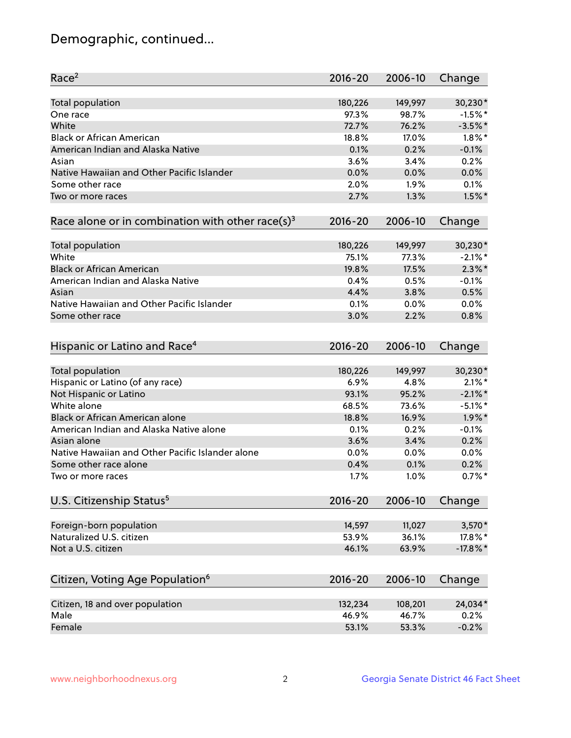## Demographic, continued...

| Race <sup>2</sup>                                            | $2016 - 20$ | 2006-10 | Change      |
|--------------------------------------------------------------|-------------|---------|-------------|
| <b>Total population</b>                                      | 180,226     | 149,997 | 30,230*     |
| One race                                                     | 97.3%       | 98.7%   | $-1.5%$ *   |
| White                                                        | 72.7%       | 76.2%   | $-3.5%$ *   |
| <b>Black or African American</b>                             | 18.8%       | 17.0%   | $1.8\%$ *   |
| American Indian and Alaska Native                            | 0.1%        | 0.2%    | $-0.1%$     |
| Asian                                                        | 3.6%        | 3.4%    | 0.2%        |
| Native Hawaiian and Other Pacific Islander                   | 0.0%        | 0.0%    | 0.0%        |
| Some other race                                              | 2.0%        | 1.9%    | 0.1%        |
| Two or more races                                            | 2.7%        | 1.3%    | $1.5\%$ *   |
| Race alone or in combination with other race(s) <sup>3</sup> | $2016 - 20$ | 2006-10 | Change      |
| Total population                                             | 180,226     | 149,997 | 30,230*     |
| White                                                        | 75.1%       | 77.3%   | $-2.1\%$ *  |
| <b>Black or African American</b>                             | 19.8%       | 17.5%   | $2.3\%$ *   |
| American Indian and Alaska Native                            | 0.4%        | 0.5%    | $-0.1%$     |
| Asian                                                        | 4.4%        | 3.8%    | 0.5%        |
| Native Hawaiian and Other Pacific Islander                   | 0.1%        | 0.0%    | 0.0%        |
| Some other race                                              | 3.0%        | 2.2%    | 0.8%        |
|                                                              |             |         |             |
| Hispanic or Latino and Race <sup>4</sup>                     | $2016 - 20$ | 2006-10 | Change      |
| <b>Total population</b>                                      | 180,226     | 149,997 | 30,230*     |
| Hispanic or Latino (of any race)                             | 6.9%        | 4.8%    | $2.1\%$ *   |
| Not Hispanic or Latino                                       | 93.1%       | 95.2%   | $-2.1\%$ *  |
| White alone                                                  | 68.5%       | 73.6%   | $-5.1\%$ *  |
| Black or African American alone                              | 18.8%       | 16.9%   | $1.9\%$ *   |
| American Indian and Alaska Native alone                      | 0.1%        | 0.2%    | $-0.1%$     |
| Asian alone                                                  | 3.6%        | 3.4%    | 0.2%        |
| Native Hawaiian and Other Pacific Islander alone             | 0.0%        | 0.0%    | 0.0%        |
| Some other race alone                                        | 0.4%        | 0.1%    | 0.2%        |
| Two or more races                                            | 1.7%        | 1.0%    | $0.7%$ *    |
| U.S. Citizenship Status <sup>5</sup>                         | 2016-20     | 2006-10 | Change      |
|                                                              |             |         |             |
| Foreign-born population                                      | 14,597      | 11,027  | 3,570*      |
| Naturalized U.S. citizen                                     | 53.9%       | 36.1%   | 17.8%*      |
| Not a U.S. citizen                                           | 46.1%       | 63.9%   | $-17.8\%$ * |
| Citizen, Voting Age Population <sup>6</sup>                  | $2016 - 20$ | 2006-10 | Change      |
| Citizen, 18 and over population                              | 132,234     | 108,201 | 24,034*     |
| Male                                                         | 46.9%       | 46.7%   | 0.2%        |
| Female                                                       | 53.1%       | 53.3%   | $-0.2%$     |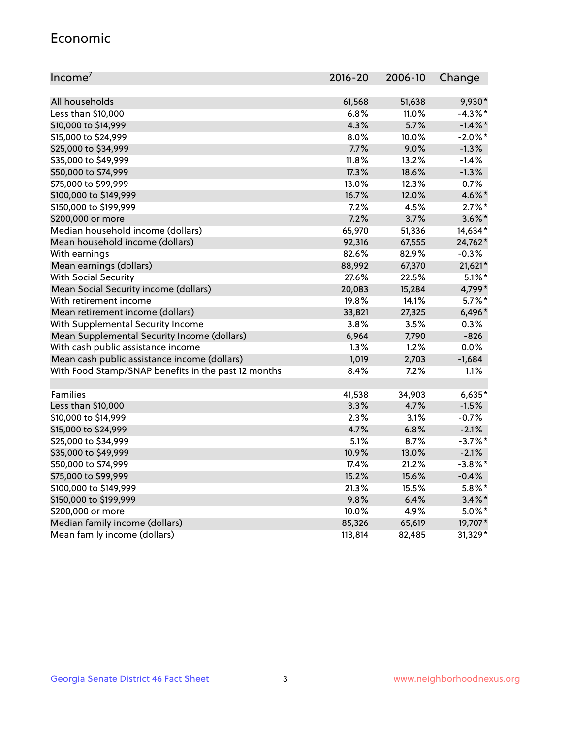#### Economic

| Income <sup>7</sup>                                 | $2016 - 20$ | 2006-10 | Change     |
|-----------------------------------------------------|-------------|---------|------------|
|                                                     |             |         |            |
| All households                                      | 61,568      | 51,638  | 9,930*     |
| Less than \$10,000                                  | 6.8%        | 11.0%   | $-4.3\%$ * |
| \$10,000 to \$14,999                                | 4.3%        | 5.7%    | $-1.4\%$ * |
| \$15,000 to \$24,999                                | 8.0%        | 10.0%   | $-2.0\%$ * |
| \$25,000 to \$34,999                                | 7.7%        | 9.0%    | $-1.3%$    |
| \$35,000 to \$49,999                                | 11.8%       | 13.2%   | $-1.4%$    |
| \$50,000 to \$74,999                                | 17.3%       | 18.6%   | $-1.3%$    |
| \$75,000 to \$99,999                                | 13.0%       | 12.3%   | 0.7%       |
| \$100,000 to \$149,999                              | 16.7%       | 12.0%   | 4.6%*      |
| \$150,000 to \$199,999                              | 7.2%        | 4.5%    | $2.7\%$ *  |
| \$200,000 or more                                   | 7.2%        | 3.7%    | $3.6\%$ *  |
| Median household income (dollars)                   | 65,970      | 51,336  | 14,634*    |
| Mean household income (dollars)                     | 92,316      | 67,555  | 24,762*    |
| With earnings                                       | 82.6%       | 82.9%   | $-0.3%$    |
| Mean earnings (dollars)                             | 88,992      | 67,370  | 21,621*    |
| <b>With Social Security</b>                         | 27.6%       | 22.5%   | $5.1\%$ *  |
| Mean Social Security income (dollars)               | 20,083      | 15,284  | 4,799*     |
| With retirement income                              | 19.8%       | 14.1%   | $5.7\%$ *  |
| Mean retirement income (dollars)                    | 33,821      | 27,325  | 6,496*     |
| With Supplemental Security Income                   | $3.8\%$     | 3.5%    | 0.3%       |
| Mean Supplemental Security Income (dollars)         | 6,964       | 7,790   | $-826$     |
| With cash public assistance income                  | 1.3%        | 1.2%    | 0.0%       |
| Mean cash public assistance income (dollars)        | 1,019       | 2,703   | $-1,684$   |
| With Food Stamp/SNAP benefits in the past 12 months | 8.4%        | 7.2%    | 1.1%       |
|                                                     |             |         |            |
| Families                                            | 41,538      | 34,903  | $6,635*$   |
| Less than \$10,000                                  | $3.3\%$     | 4.7%    | $-1.5%$    |
| \$10,000 to \$14,999                                | 2.3%        | 3.1%    | $-0.7%$    |
| \$15,000 to \$24,999                                | 4.7%        | 6.8%    | $-2.1%$    |
| \$25,000 to \$34,999                                | 5.1%        | 8.7%    | $-3.7\%$ * |
| \$35,000 to \$49,999                                | 10.9%       | 13.0%   | $-2.1%$    |
| \$50,000 to \$74,999                                | 17.4%       | 21.2%   | $-3.8\%$ * |
| \$75,000 to \$99,999                                | 15.2%       | 15.6%   | $-0.4%$    |
| \$100,000 to \$149,999                              | 21.3%       | 15.5%   | $5.8\%$ *  |
| \$150,000 to \$199,999                              | 9.8%        | 6.4%    | $3.4\%$ *  |
| \$200,000 or more                                   | 10.0%       | 4.9%    | $5.0\%$ *  |
| Median family income (dollars)                      | 85,326      | 65,619  | 19,707*    |
| Mean family income (dollars)                        | 113,814     | 82,485  | 31,329*    |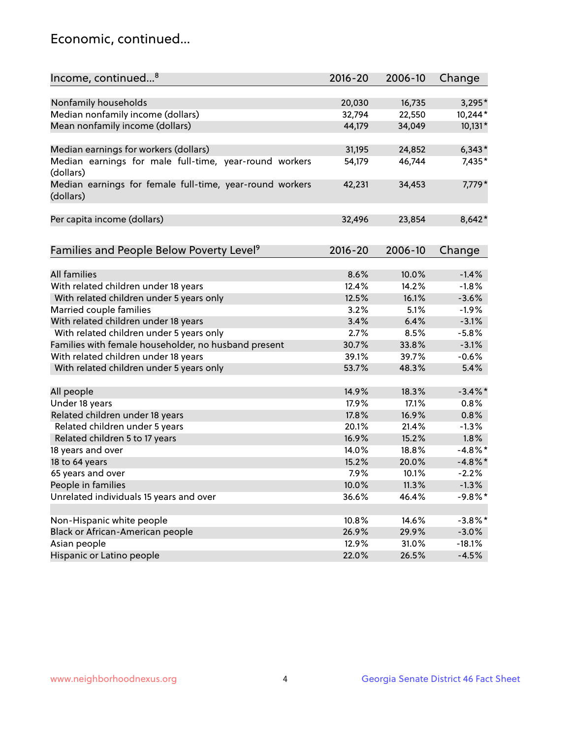## Economic, continued...

| Income, continued <sup>8</sup>                                        | $2016 - 20$ | 2006-10 | Change     |
|-----------------------------------------------------------------------|-------------|---------|------------|
|                                                                       |             |         |            |
| Nonfamily households                                                  | 20,030      | 16,735  | $3,295*$   |
| Median nonfamily income (dollars)                                     | 32,794      | 22,550  | 10,244*    |
| Mean nonfamily income (dollars)                                       | 44,179      | 34,049  | 10,131*    |
| Median earnings for workers (dollars)                                 | 31,195      | 24,852  | $6,343*$   |
| Median earnings for male full-time, year-round workers                | 54,179      | 46,744  | 7,435*     |
| (dollars)                                                             |             |         |            |
| Median earnings for female full-time, year-round workers<br>(dollars) | 42,231      | 34,453  | 7,779*     |
| Per capita income (dollars)                                           | 32,496      | 23,854  | 8,642*     |
|                                                                       |             |         |            |
| Families and People Below Poverty Level <sup>9</sup>                  | $2016 - 20$ | 2006-10 | Change     |
|                                                                       |             |         |            |
| All families                                                          | 8.6%        | 10.0%   | $-1.4%$    |
| With related children under 18 years                                  | 12.4%       | 14.2%   | $-1.8%$    |
| With related children under 5 years only                              | 12.5%       | 16.1%   | $-3.6%$    |
| Married couple families                                               | 3.2%        | 5.1%    | $-1.9%$    |
| With related children under 18 years                                  | 3.4%        | 6.4%    | $-3.1%$    |
| With related children under 5 years only                              | 2.7%        | 8.5%    | $-5.8%$    |
| Families with female householder, no husband present                  | 30.7%       | 33.8%   | $-3.1%$    |
| With related children under 18 years                                  | 39.1%       | 39.7%   | $-0.6%$    |
| With related children under 5 years only                              | 53.7%       | 48.3%   | 5.4%       |
|                                                                       | 14.9%       | 18.3%   | $-3.4\%$ * |
| All people                                                            |             |         |            |
| Under 18 years                                                        | 17.9%       | 17.1%   | 0.8%       |
| Related children under 18 years                                       | 17.8%       | 16.9%   | 0.8%       |
| Related children under 5 years                                        | 20.1%       | 21.4%   | $-1.3%$    |
| Related children 5 to 17 years                                        | 16.9%       | 15.2%   | 1.8%       |
| 18 years and over                                                     | 14.0%       | 18.8%   | $-4.8\%$ * |
| 18 to 64 years                                                        | 15.2%       | 20.0%   | $-4.8\%$ * |
| 65 years and over                                                     | 7.9%        | 10.1%   | $-2.2%$    |
| People in families                                                    | 10.0%       | 11.3%   | $-1.3\%$   |
| Unrelated individuals 15 years and over                               | 36.6%       | 46.4%   | $-9.8\%$ * |
|                                                                       |             |         |            |
| Non-Hispanic white people                                             | 10.8%       | 14.6%   | $-3.8\%$ * |
| Black or African-American people                                      | 26.9%       | 29.9%   | $-3.0%$    |
| Asian people                                                          | 12.9%       | 31.0%   | $-18.1%$   |
| Hispanic or Latino people                                             | 22.0%       | 26.5%   | $-4.5%$    |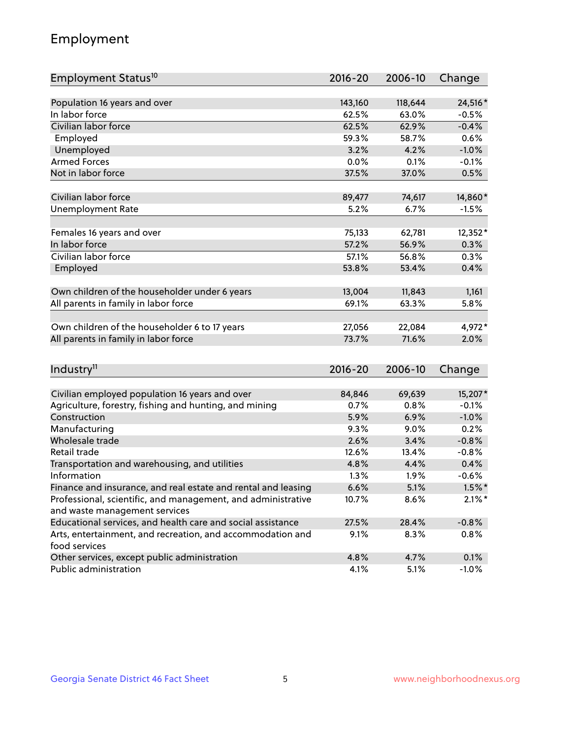## Employment

| Employment Status <sup>10</sup>                               | $2016 - 20$ | 2006-10        | Change    |
|---------------------------------------------------------------|-------------|----------------|-----------|
|                                                               |             |                |           |
| Population 16 years and over<br>In labor force                | 143,160     | 118,644        | 24,516*   |
| Civilian labor force                                          | 62.5%       | 63.0%<br>62.9% | $-0.5%$   |
|                                                               | 62.5%       |                | $-0.4%$   |
| Employed                                                      | 59.3%       | 58.7%          | 0.6%      |
| Unemployed                                                    | 3.2%        | 4.2%           | $-1.0%$   |
| <b>Armed Forces</b>                                           | 0.0%        | 0.1%           | $-0.1%$   |
| Not in labor force                                            | 37.5%       | 37.0%          | 0.5%      |
| Civilian labor force                                          | 89,477      | 74,617         | 14,860*   |
| <b>Unemployment Rate</b>                                      | 5.2%        | 6.7%           | $-1.5%$   |
|                                                               |             |                |           |
| Females 16 years and over                                     | 75,133      | 62,781         | 12,352*   |
| In labor force                                                | 57.2%       | 56.9%          | 0.3%      |
| Civilian labor force                                          | 57.1%       | 56.8%          | 0.3%      |
| Employed                                                      | 53.8%       | 53.4%          | 0.4%      |
|                                                               |             |                |           |
| Own children of the householder under 6 years                 | 13,004      | 11,843         | 1,161     |
| All parents in family in labor force                          | 69.1%       | 63.3%          | 5.8%      |
| Own children of the householder 6 to 17 years                 | 27,056      | 22,084         | 4,972*    |
| All parents in family in labor force                          | 73.7%       | 71.6%          | 2.0%      |
|                                                               |             |                |           |
| Industry <sup>11</sup>                                        | $2016 - 20$ | 2006-10        | Change    |
|                                                               |             |                |           |
| Civilian employed population 16 years and over                | 84,846      | 69,639         | 15,207*   |
| Agriculture, forestry, fishing and hunting, and mining        | 0.7%        | 0.8%           | $-0.1%$   |
| Construction                                                  | 5.9%        | 6.9%           | $-1.0%$   |
| Manufacturing                                                 | 9.3%        | 9.0%           | 0.2%      |
| Wholesale trade                                               | 2.6%        | 3.4%           | $-0.8%$   |
| Retail trade                                                  | 12.6%       | 13.4%          | $-0.8%$   |
| Transportation and warehousing, and utilities                 | 4.8%        | 4.4%           | 0.4%      |
| Information                                                   | 1.3%        | 1.9%           | $-0.6%$   |
| Finance and insurance, and real estate and rental and leasing | 6.6%        | 5.1%           | $1.5\%$ * |
| Professional, scientific, and management, and administrative  | 10.7%       | 8.6%           | $2.1\%$ * |
| and waste management services                                 |             |                |           |
| Educational services, and health care and social assistance   | 27.5%       | 28.4%          | $-0.8%$   |
| Arts, entertainment, and recreation, and accommodation and    | 9.1%        | 8.3%           | 0.8%      |
| food services                                                 |             |                |           |
| Other services, except public administration                  | 4.8%        | 4.7%           | 0.1%      |
| Public administration                                         | 4.1%        | 5.1%           | $-1.0%$   |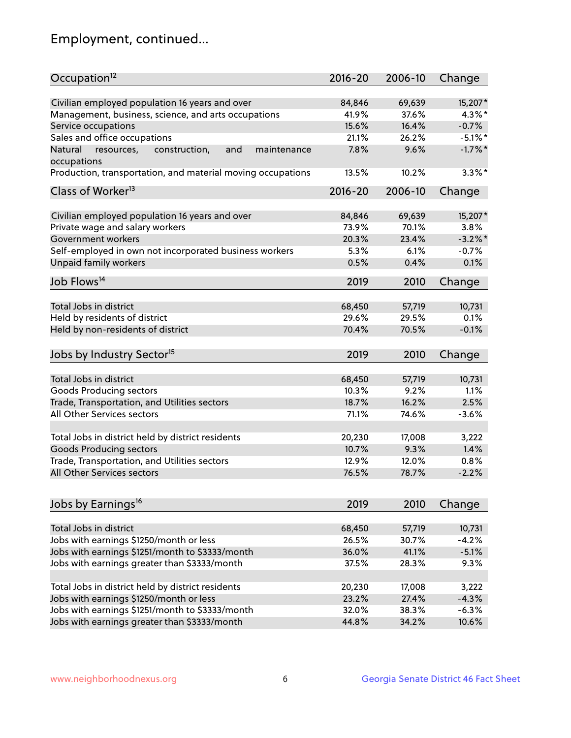## Employment, continued...

| Occupation <sup>12</sup>                                     | $2016 - 20$ | 2006-10 | Change     |
|--------------------------------------------------------------|-------------|---------|------------|
| Civilian employed population 16 years and over               | 84,846      | 69,639  | 15,207*    |
| Management, business, science, and arts occupations          | 41.9%       | 37.6%   | 4.3%*      |
| Service occupations                                          | 15.6%       | 16.4%   | $-0.7%$    |
| Sales and office occupations                                 | 21.1%       | 26.2%   | $-5.1\%$ * |
| Natural<br>and<br>maintenance<br>resources,<br>construction, | 7.8%        | 9.6%    | $-1.7%$ *  |
| occupations                                                  |             |         |            |
| Production, transportation, and material moving occupations  | 13.5%       | 10.2%   | $3.3\%$ *  |
| Class of Worker <sup>13</sup>                                | $2016 - 20$ | 2006-10 | Change     |
|                                                              |             |         |            |
| Civilian employed population 16 years and over               | 84,846      | 69,639  | 15,207*    |
| Private wage and salary workers                              | 73.9%       | 70.1%   | 3.8%       |
| Government workers                                           | 20.3%       | 23.4%   | $-3.2\%$ * |
| Self-employed in own not incorporated business workers       | 5.3%        | 6.1%    | $-0.7%$    |
| Unpaid family workers                                        | 0.5%        | 0.4%    | 0.1%       |
| Job Flows <sup>14</sup>                                      | 2019        | 2010    | Change     |
|                                                              |             |         |            |
| Total Jobs in district                                       | 68,450      | 57,719  | 10,731     |
| Held by residents of district                                | 29.6%       | 29.5%   | 0.1%       |
| Held by non-residents of district                            | 70.4%       | 70.5%   | $-0.1%$    |
| Jobs by Industry Sector <sup>15</sup>                        | 2019        | 2010    | Change     |
|                                                              |             |         |            |
| Total Jobs in district                                       | 68,450      | 57,719  | 10,731     |
| Goods Producing sectors                                      | 10.3%       | 9.2%    | 1.1%       |
| Trade, Transportation, and Utilities sectors                 | 18.7%       | 16.2%   | 2.5%       |
| All Other Services sectors                                   | 71.1%       | 74.6%   | $-3.6%$    |
|                                                              |             |         |            |
| Total Jobs in district held by district residents            | 20,230      | 17,008  | 3,222      |
| <b>Goods Producing sectors</b>                               | 10.7%       | 9.3%    | 1.4%       |
| Trade, Transportation, and Utilities sectors                 | 12.9%       | 12.0%   | 0.8%       |
| All Other Services sectors                                   | 76.5%       | 78.7%   | $-2.2%$    |
|                                                              |             |         |            |
| Jobs by Earnings <sup>16</sup>                               | 2019        | 2010    | Change     |
| Total Jobs in district                                       | 68,450      | 57,719  | 10,731     |
| Jobs with earnings \$1250/month or less                      | 26.5%       | 30.7%   | $-4.2%$    |
|                                                              |             |         |            |
| Jobs with earnings \$1251/month to \$3333/month              | 36.0%       | 41.1%   | $-5.1%$    |
| Jobs with earnings greater than \$3333/month                 | 37.5%       | 28.3%   | 9.3%       |
| Total Jobs in district held by district residents            | 20,230      | 17,008  | 3,222      |
| Jobs with earnings \$1250/month or less                      | 23.2%       | 27.4%   | $-4.3%$    |
| Jobs with earnings \$1251/month to \$3333/month              | 32.0%       | 38.3%   | $-6.3%$    |
| Jobs with earnings greater than \$3333/month                 | 44.8%       | 34.2%   | 10.6%      |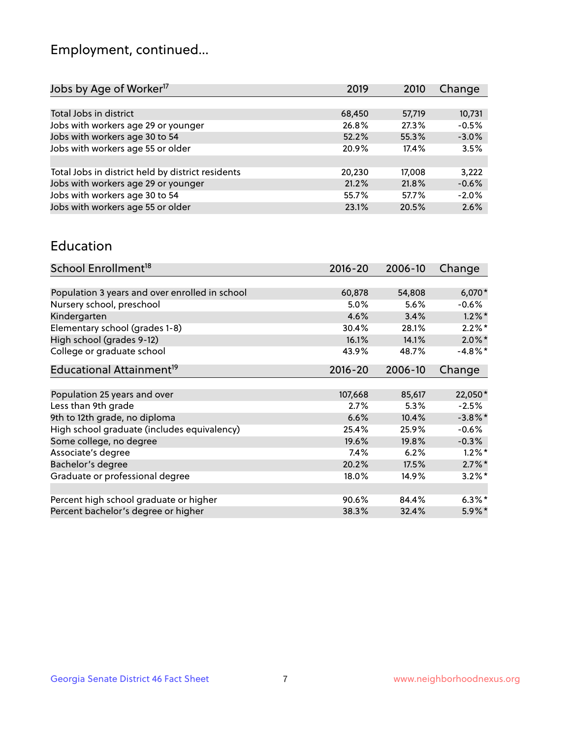## Employment, continued...

| 2019   | 2010   | Change  |
|--------|--------|---------|
|        |        |         |
| 68,450 | 57,719 | 10,731  |
| 26.8%  | 27.3%  | $-0.5%$ |
| 52.2%  | 55.3%  | $-3.0%$ |
| 20.9%  | 17.4%  | 3.5%    |
|        |        |         |
| 20,230 | 17,008 | 3,222   |
| 21.2%  | 21.8%  | $-0.6%$ |
| 55.7%  | 57.7%  | $-2.0%$ |
| 23.1%  | 20.5%  | 2.6%    |
|        |        |         |

#### Education

| School Enrollment <sup>18</sup>                | $2016 - 20$ | 2006-10 | Change     |
|------------------------------------------------|-------------|---------|------------|
|                                                |             |         |            |
| Population 3 years and over enrolled in school | 60,878      | 54,808  | $6,070*$   |
| Nursery school, preschool                      | $5.0\%$     | 5.6%    | $-0.6\%$   |
| Kindergarten                                   | 4.6%        | 3.4%    | $1.2\%$ *  |
| Elementary school (grades 1-8)                 | 30.4%       | 28.1%   | $2.2\%$ *  |
| High school (grades 9-12)                      | 16.1%       | 14.1%   | $2.0\%$ *  |
| College or graduate school                     | 43.9%       | 48.7%   | $-4.8\%$ * |
| Educational Attainment <sup>19</sup>           | $2016 - 20$ | 2006-10 | Change     |
|                                                |             |         |            |
| Population 25 years and over                   | 107,668     | 85,617  | 22,050*    |
| Less than 9th grade                            | 2.7%        | 5.3%    | $-2.5%$    |
| 9th to 12th grade, no diploma                  | 6.6%        | 10.4%   | $-3.8\%$ * |
| High school graduate (includes equivalency)    | 25.4%       | 25.9%   | $-0.6%$    |
| Some college, no degree                        | 19.6%       | 19.8%   | $-0.3%$    |
| Associate's degree                             | 7.4%        | 6.2%    | $1.2\%$ *  |
| Bachelor's degree                              | 20.2%       | 17.5%   | $2.7\%$ *  |
| Graduate or professional degree                | 18.0%       | 14.9%   | $3.2\%$ *  |
|                                                |             |         |            |
| Percent high school graduate or higher         | 90.6%       | 84.4%   | $6.3\%*$   |
| Percent bachelor's degree or higher            | 38.3%       | 32.4%   | $5.9\%$ *  |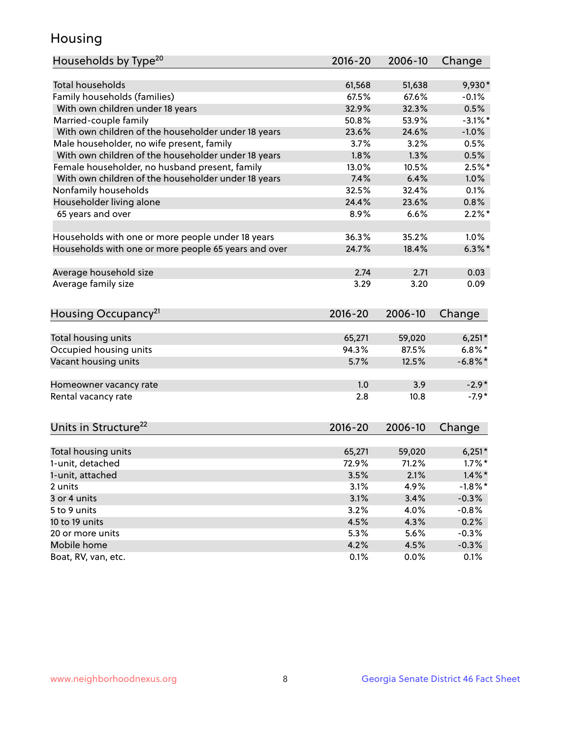## Housing

| Households by Type <sup>20</sup>                     | 2016-20 | 2006-10 | Change                |
|------------------------------------------------------|---------|---------|-----------------------|
|                                                      |         |         |                       |
| <b>Total households</b>                              | 61,568  | 51,638  | 9,930*                |
| Family households (families)                         | 67.5%   | 67.6%   | $-0.1%$               |
| With own children under 18 years                     | 32.9%   | 32.3%   | 0.5%                  |
| Married-couple family                                | 50.8%   | 53.9%   | $-3.1\%$ *            |
| With own children of the householder under 18 years  | 23.6%   | 24.6%   | $-1.0%$               |
| Male householder, no wife present, family            | 3.7%    | 3.2%    | 0.5%                  |
| With own children of the householder under 18 years  | 1.8%    | 1.3%    | 0.5%                  |
| Female householder, no husband present, family       | 13.0%   | 10.5%   | $2.5%$ *              |
| With own children of the householder under 18 years  | 7.4%    | 6.4%    | 1.0%                  |
| Nonfamily households                                 | 32.5%   | 32.4%   | 0.1%                  |
| Householder living alone                             | 24.4%   | 23.6%   | 0.8%                  |
| 65 years and over                                    | 8.9%    | 6.6%    | $2.2\%$ *             |
|                                                      |         |         |                       |
| Households with one or more people under 18 years    | 36.3%   | 35.2%   | 1.0%                  |
| Households with one or more people 65 years and over | 24.7%   | 18.4%   | $6.3\%$ *             |
|                                                      |         |         |                       |
| Average household size                               | 2.74    | 2.71    | 0.03                  |
| Average family size                                  | 3.29    | 3.20    | 0.09                  |
|                                                      |         |         |                       |
| Housing Occupancy <sup>21</sup>                      | 2016-20 | 2006-10 | Change                |
|                                                      |         |         |                       |
| Total housing units                                  | 65,271  | 59,020  | $6,251*$              |
| Occupied housing units                               | 94.3%   | 87.5%   | $6.8\%$ *             |
| Vacant housing units                                 | 5.7%    | 12.5%   | $-6.8\%$ *            |
|                                                      |         |         |                       |
| Homeowner vacancy rate                               | 1.0     | 3.9     | $-2.9*$               |
| Rental vacancy rate                                  | 2.8     | 10.8    | $-7.9*$               |
|                                                      |         |         |                       |
|                                                      |         |         |                       |
| Units in Structure <sup>22</sup>                     | 2016-20 | 2006-10 | Change                |
|                                                      | 65,271  | 59,020  |                       |
| Total housing units<br>1-unit, detached              | 72.9%   | 71.2%   | $6,251*$<br>$1.7\%$ * |
|                                                      |         |         |                       |
| 1-unit, attached                                     | 3.5%    | 2.1%    | $1.4\%$ *             |
| 2 units                                              | 3.1%    | 4.9%    | $-1.8\%$ *            |
| 3 or 4 units                                         | 3.1%    | 3.4%    | $-0.3%$               |
| 5 to 9 units                                         | 3.2%    | 4.0%    | $-0.8%$               |
| 10 to 19 units                                       | 4.5%    | 4.3%    | 0.2%                  |
| 20 or more units                                     | 5.3%    | 5.6%    | $-0.3%$               |
| Mobile home                                          | 4.2%    | 4.5%    | $-0.3%$               |
| Boat, RV, van, etc.                                  | 0.1%    | 0.0%    | 0.1%                  |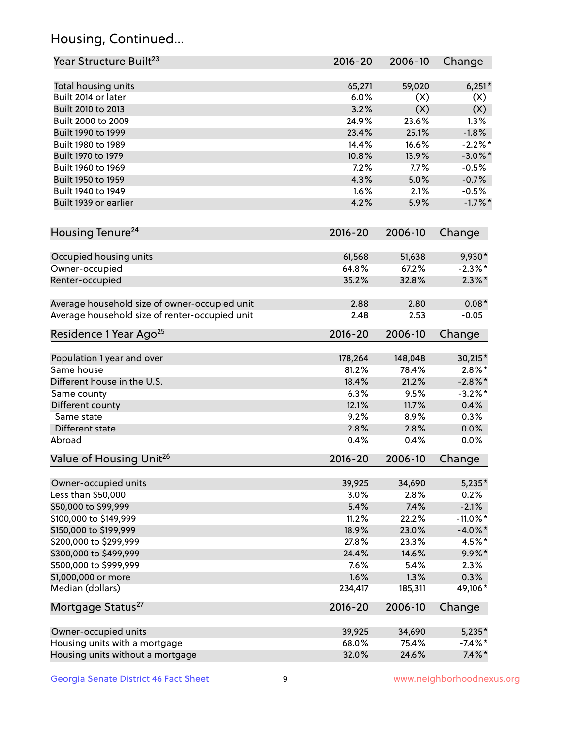## Housing, Continued...

| Year Structure Built <sup>23</sup>             | 2016-20     | 2006-10 | Change      |
|------------------------------------------------|-------------|---------|-------------|
| Total housing units                            | 65,271      | 59,020  | $6,251*$    |
| Built 2014 or later                            | 6.0%        | (X)     | (X)         |
| Built 2010 to 2013                             | 3.2%        | (X)     | (X)         |
| Built 2000 to 2009                             | 24.9%       | 23.6%   | 1.3%        |
| Built 1990 to 1999                             | 23.4%       | 25.1%   | $-1.8%$     |
| Built 1980 to 1989                             | 14.4%       | 16.6%   | $-2.2%$     |
| Built 1970 to 1979                             | 10.8%       | 13.9%   | $-3.0\%$ *  |
| Built 1960 to 1969                             | 7.2%        | 7.7%    | $-0.5%$     |
| Built 1950 to 1959                             | 4.3%        | 5.0%    | $-0.7%$     |
| Built 1940 to 1949                             | 1.6%        | 2.1%    | $-0.5%$     |
| Built 1939 or earlier                          | 4.2%        | 5.9%    | $-1.7%$ *   |
| Housing Tenure <sup>24</sup>                   | $2016 - 20$ | 2006-10 | Change      |
| Occupied housing units                         | 61,568      | 51,638  | 9,930*      |
| Owner-occupied                                 | 64.8%       | 67.2%   | $-2.3\%$ *  |
| Renter-occupied                                | 35.2%       | 32.8%   | $2.3\%*$    |
| Average household size of owner-occupied unit  | 2.88        | 2.80    | $0.08*$     |
| Average household size of renter-occupied unit | 2.48        | 2.53    | $-0.05$     |
| Residence 1 Year Ago <sup>25</sup>             | 2016-20     | 2006-10 | Change      |
| Population 1 year and over                     | 178,264     | 148,048 | 30,215*     |
| Same house                                     | 81.2%       | 78.4%   | $2.8\%*$    |
| Different house in the U.S.                    | 18.4%       | 21.2%   | $-2.8\%$ *  |
| Same county                                    | 6.3%        | 9.5%    | $-3.2\%$ *  |
| Different county                               | 12.1%       | 11.7%   | 0.4%        |
| Same state                                     | 9.2%        | 8.9%    | 0.3%        |
| Different state                                | 2.8%        | 2.8%    | 0.0%        |
| Abroad                                         | 0.4%        | 0.4%    | 0.0%        |
| Value of Housing Unit <sup>26</sup>            | $2016 - 20$ | 2006-10 | Change      |
| Owner-occupied units                           | 39,925      | 34,690  | $5,235*$    |
| Less than \$50,000                             | 3.0%        | 2.8%    | 0.2%        |
| \$50,000 to \$99,999                           | 5.4%        | 7.4%    | $-2.1%$     |
| \$100,000 to \$149,999                         | 11.2%       | 22.2%   | $-11.0\%$ * |
| \$150,000 to \$199,999                         | 18.9%       | 23.0%   | $-4.0\%$ *  |
| \$200,000 to \$299,999                         | 27.8%       | 23.3%   | 4.5%*       |
| \$300,000 to \$499,999                         | 24.4%       | 14.6%   | $9.9\% *$   |
| \$500,000 to \$999,999                         | 7.6%        | 5.4%    | 2.3%        |
| \$1,000,000 or more                            | 1.6%        | 1.3%    | 0.3%        |
| Median (dollars)                               | 234,417     | 185,311 | 49,106*     |
| Mortgage Status <sup>27</sup>                  | $2016 - 20$ | 2006-10 | Change      |
| Owner-occupied units                           | 39,925      | 34,690  | $5,235*$    |
| Housing units with a mortgage                  | 68.0%       | 75.4%   | $-7.4\%$ *  |
| Housing units without a mortgage               | 32.0%       | 24.6%   | $7.4\%$ *   |
|                                                |             |         |             |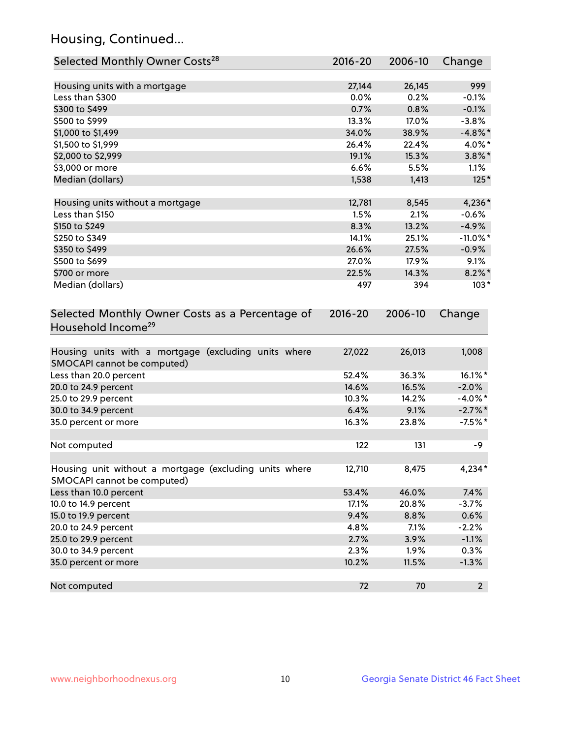## Housing, Continued...

| Selected Monthly Owner Costs <sup>28</sup>                                            | 2016-20     | 2006-10 | Change         |
|---------------------------------------------------------------------------------------|-------------|---------|----------------|
| Housing units with a mortgage                                                         | 27,144      | 26,145  | 999            |
| Less than \$300                                                                       | 0.0%        | 0.2%    | $-0.1%$        |
| \$300 to \$499                                                                        | 0.7%        | 0.8%    | $-0.1%$        |
| \$500 to \$999                                                                        | 13.3%       | 17.0%   | $-3.8%$        |
| \$1,000 to \$1,499                                                                    | 34.0%       | 38.9%   | $-4.8\%$ *     |
| \$1,500 to \$1,999                                                                    | 26.4%       | 22.4%   | 4.0%*          |
| \$2,000 to \$2,999                                                                    | 19.1%       | 15.3%   | $3.8\%$ *      |
| \$3,000 or more                                                                       | 6.6%        | 5.5%    | $1.1\%$        |
| Median (dollars)                                                                      | 1,538       | 1,413   | $125*$         |
|                                                                                       |             |         |                |
| Housing units without a mortgage                                                      | 12,781      | 8,545   | 4,236*         |
| Less than \$150                                                                       | 1.5%        | 2.1%    | $-0.6%$        |
| \$150 to \$249                                                                        | 8.3%        | 13.2%   | $-4.9%$        |
| \$250 to \$349                                                                        | 14.1%       | 25.1%   | $-11.0\%$ *    |
| \$350 to \$499                                                                        | 26.6%       | 27.5%   | $-0.9\%$       |
| \$500 to \$699                                                                        | 27.0%       | 17.9%   | 9.1%           |
| \$700 or more                                                                         | 22.5%       | 14.3%   | $8.2\%$ *      |
| Median (dollars)                                                                      | 497         | 394     | $103*$         |
| Selected Monthly Owner Costs as a Percentage of<br>Household Income <sup>29</sup>     | $2016 - 20$ | 2006-10 | Change         |
| Housing units with a mortgage (excluding units where<br>SMOCAPI cannot be computed)   | 27,022      | 26,013  | 1,008          |
| Less than 20.0 percent                                                                | 52.4%       | 36.3%   | 16.1%*         |
| 20.0 to 24.9 percent                                                                  | 14.6%       | 16.5%   | $-2.0%$        |
| 25.0 to 29.9 percent                                                                  | 10.3%       | 14.2%   | $-4.0\%$ *     |
| 30.0 to 34.9 percent                                                                  | 6.4%        | 9.1%    | $-2.7\%$ *     |
| 35.0 percent or more                                                                  | 16.3%       | 23.8%   | $-7.5%$ *      |
| Not computed                                                                          | 122         | 131     | -9             |
| Housing unit without a mortgage (excluding units where<br>SMOCAPI cannot be computed) | 12,710      | 8,475   | $4,234*$       |
| Less than 10.0 percent                                                                | 53.4%       | 46.0%   | 7.4%           |
| 10.0 to 14.9 percent                                                                  | 17.1%       | 20.8%   | $-3.7%$        |
| 15.0 to 19.9 percent                                                                  | 9.4%        | 8.8%    | 0.6%           |
| 20.0 to 24.9 percent                                                                  | 4.8%        | 7.1%    | $-2.2%$        |
| 25.0 to 29.9 percent                                                                  | 2.7%        | 3.9%    | $-1.1%$        |
| 30.0 to 34.9 percent                                                                  | 2.3%        | 1.9%    | 0.3%           |
| 35.0 percent or more                                                                  | 10.2%       | 11.5%   | $-1.3%$        |
| Not computed                                                                          | 72          | 70      | 2 <sup>2</sup> |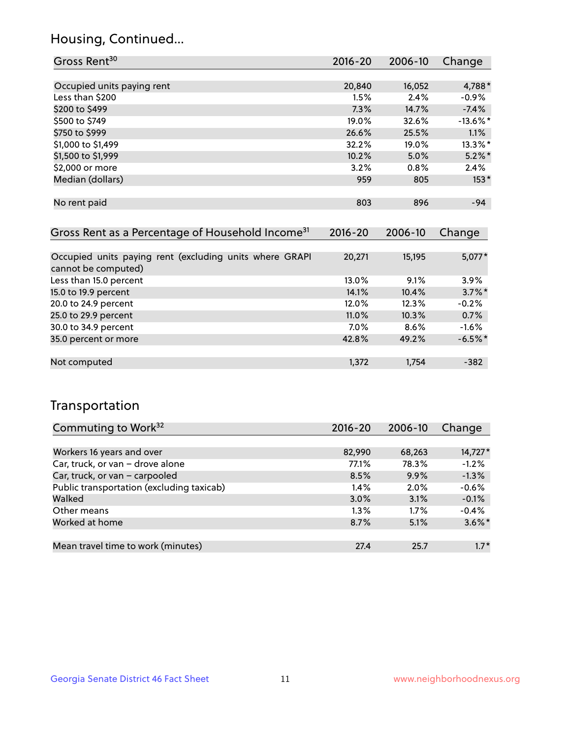## Housing, Continued...

| Gross Rent <sup>30</sup>   | 2016-20 | 2006-10 | Change      |
|----------------------------|---------|---------|-------------|
|                            |         |         |             |
| Occupied units paying rent | 20,840  | 16,052  | 4,788*      |
| Less than \$200            | 1.5%    | 2.4%    | $-0.9%$     |
| \$200 to \$499             | 7.3%    | 14.7%   | $-7.4%$     |
| \$500 to \$749             | 19.0%   | 32.6%   | $-13.6\%$ * |
| \$750 to \$999             | 26.6%   | 25.5%   | 1.1%        |
| \$1,000 to \$1,499         | 32.2%   | 19.0%   | $13.3\%$ *  |
| \$1,500 to \$1,999         | 10.2%   | 5.0%    | $5.2\%$ *   |
| \$2,000 or more            | 3.2%    | 0.8%    | 2.4%        |
| Median (dollars)           | 959     | 805     | $153*$      |
|                            |         |         |             |
| No rent paid               | 803     | 896     | $-94$       |

| Gross Rent as a Percentage of Household Income <sup>31</sup>                   | $2016 - 20$ | 2006-10 | Change    |
|--------------------------------------------------------------------------------|-------------|---------|-----------|
|                                                                                |             |         |           |
| Occupied units paying rent (excluding units where GRAPI<br>cannot be computed) | 20,271      | 15,195  | $5,077*$  |
| Less than 15.0 percent                                                         | 13.0%       | 9.1%    | 3.9%      |
| 15.0 to 19.9 percent                                                           | 14.1%       | 10.4%   | $3.7\%$ * |
| 20.0 to 24.9 percent                                                           | 12.0%       | 12.3%   | $-0.2%$   |
| 25.0 to 29.9 percent                                                           | 11.0%       | 10.3%   | 0.7%      |
| 30.0 to 34.9 percent                                                           | 7.0%        | 8.6%    | $-1.6%$   |
| 35.0 percent or more                                                           | 42.8%       | 49.2%   | $-6.5%$ * |
|                                                                                |             |         |           |
| Not computed                                                                   | 1.372       | 1.754   | $-382$    |

## Transportation

| Commuting to Work <sup>32</sup>           | 2016-20 | 2006-10 | Change    |
|-------------------------------------------|---------|---------|-----------|
|                                           |         |         |           |
| Workers 16 years and over                 | 82,990  | 68,263  | 14,727*   |
| Car, truck, or van - drove alone          | 77.1%   | 78.3%   | $-1.2%$   |
| Car, truck, or van - carpooled            | 8.5%    | 9.9%    | $-1.3%$   |
| Public transportation (excluding taxicab) | $1.4\%$ | 2.0%    | $-0.6%$   |
| Walked                                    | 3.0%    | 3.1%    | $-0.1%$   |
| Other means                               | $1.3\%$ | 1.7%    | $-0.4%$   |
| Worked at home                            | 8.7%    | 5.1%    | $3.6\%$ * |
|                                           |         |         |           |
| Mean travel time to work (minutes)        | 27.4    | 25.7    | $1.7*$    |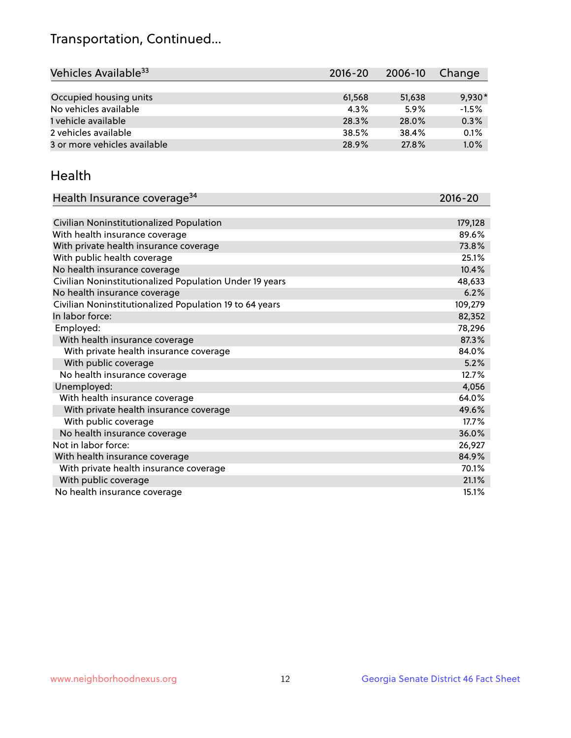## Transportation, Continued...

| Vehicles Available <sup>33</sup> | $2016 - 20$ | 2006-10 | Change   |
|----------------------------------|-------------|---------|----------|
|                                  |             |         |          |
| Occupied housing units           | 61,568      | 51,638  | $9,930*$ |
| No vehicles available            | 4.3%        | 5.9%    | $-1.5%$  |
| 1 vehicle available              | 28.3%       | 28.0%   | 0.3%     |
| 2 vehicles available             | 38.5%       | 38.4%   | 0.1%     |
| 3 or more vehicles available     | 28.9%       | 27.8%   | 1.0%     |

#### Health

| Health Insurance coverage <sup>34</sup>                 | 2016-20 |
|---------------------------------------------------------|---------|
|                                                         |         |
| Civilian Noninstitutionalized Population                | 179,128 |
| With health insurance coverage                          | 89.6%   |
| With private health insurance coverage                  | 73.8%   |
| With public health coverage                             | 25.1%   |
| No health insurance coverage                            | 10.4%   |
| Civilian Noninstitutionalized Population Under 19 years | 48,633  |
| No health insurance coverage                            | 6.2%    |
| Civilian Noninstitutionalized Population 19 to 64 years | 109,279 |
| In labor force:                                         | 82,352  |
| Employed:                                               | 78,296  |
| With health insurance coverage                          | 87.3%   |
| With private health insurance coverage                  | 84.0%   |
| With public coverage                                    | 5.2%    |
| No health insurance coverage                            | 12.7%   |
| Unemployed:                                             | 4,056   |
| With health insurance coverage                          | 64.0%   |
| With private health insurance coverage                  | 49.6%   |
| With public coverage                                    | 17.7%   |
| No health insurance coverage                            | 36.0%   |
| Not in labor force:                                     | 26,927  |
| With health insurance coverage                          | 84.9%   |
| With private health insurance coverage                  | 70.1%   |
| With public coverage                                    | 21.1%   |
| No health insurance coverage                            | 15.1%   |